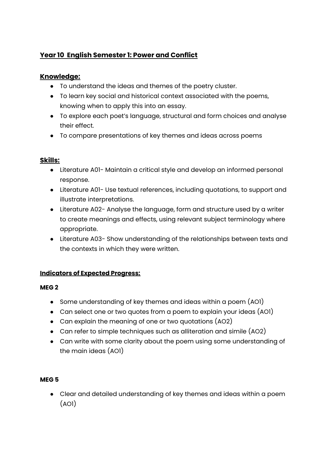# **Year 10 English Semester 1: Power and Conflict**

## **Knowledge:**

- To understand the ideas and themes of the poetry cluster.
- To learn key social and historical context associated with the poems, knowing when to apply this into an essay.
- To explore each poet's language, structural and form choices and analyse their effect.
- To compare presentations of key themes and ideas across poems

## **Skills:**

- Literature A01- Maintain a critical style and develop an informed personal response.
- Literature A01- Use textual references, including quotations, to support and illustrate interpretations.
- Literature A02- Analyse the language, form and structure used by a writer to create meanings and effects, using relevant subject terminology where appropriate.
- Literature A03- Show understanding of the relationships between texts and the contexts in which they were written.

## **Indicators of Expected Progress:**

### **MEG 2**

- Some understanding of key themes and ideas within a poem (AO1)
- Can select one or two quotes from a poem to explain your ideas (AO1)
- Can explain the meaning of one or two quotations (AO2)
- Can refer to simple techniques such as alliteration and simile (AO2)
- Can write with some clarity about the poem using some understanding of the main ideas (AO1)

### **MEG 5**

● Clear and detailed understanding of key themes and ideas within a poem  $(AOI)$